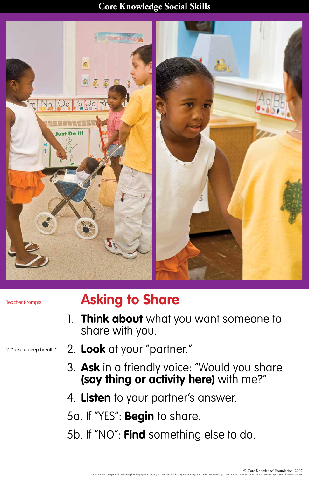## **Core Knowledge Social Skills**

© Core Knowledge® Foundation, 2007 Permission to use concepts, skills, and copyrighted language from the Stop & Think Social Skills Program has been granted to the Core Knowledge Foundation by Project ACHIEVE, Incorporated and Sopris West Educational Servic



## **Asking to Share**

- 1. **Think about** what you want someone to share with you.
- 2. **Look** at your "partner."
- 

3. **Ask** in a friendly voice: "Would you share **(say thing or activity here)** with me?"

4. **Listen** to your partner's answer.

5a. If "YES": **Begin** to share.

5b. If "NO": **Find** something else to do.

Teacher Prompts

2. "Take a deep breath."